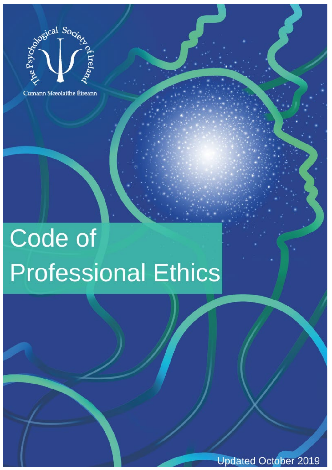

Cumann Síceolaithe Éireann

# Code of **Professional Ethics**

**Updated October 2019**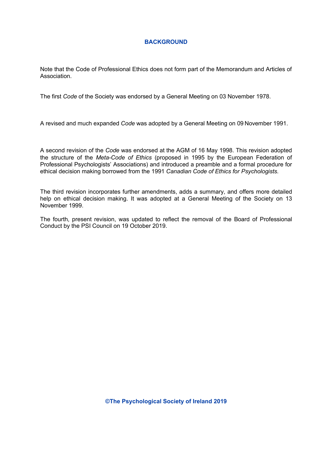# **BACKGROUND**

Note that the Code of Professional Ethics does not form part of the Memorandum and Articles of Association.

The first *Code* of the Society was endorsed by a General Meeting on 03 November 1978.

A revised and much expanded *Code* was adopted by a General Meeting on 09 November 1991.

A second revision of the *Code* was endorsed at the AGM of 16 May 1998. This revision adopted the structure of the *Meta-Code of Ethics* (proposed in 1995 by the European Federation of Professional Psychologists' Associations) and introduced a preamble and a formal procedure for ethical decision making borrowed from the 1991 *Canadian Code of Ethics for Psychologists.* 

The third revision incorporates further amendments, adds a summary, and offers more detailed help on ethical decision making. It was adopted at a General Meeting of the Society on 13 November 1999.

The fourth, present revision, was updated to reflect the removal of the Board of Professional Conduct by the PSI Council on 19 October 2019.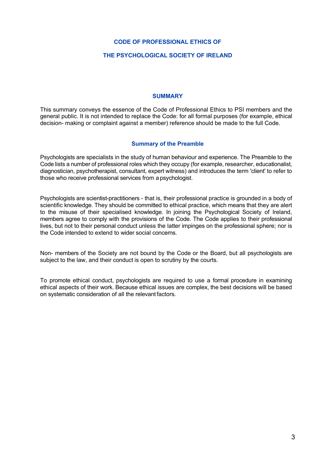#### **CODE OF PROFESSIONAL ETHICS OF**

#### **THE PSYCHOLOGICAL SOCIETY OF IRELAND**

#### **SUMMARY**

This summary conveys the essence of the Code of Professional Ethics to PSI members and the general public. It is not intended to replace the Code: for all formal purposes (for example, ethical decision- making or complaint against a member) reference should be made to the full Code.

#### **Summary of the Preamble**

Psychologists are specialists in the study of human behaviour and experience. The Preamble to the Code lists a number of professional roles which they occupy (for example, researcher, educationalist, diagnostician, psychotherapist, consultant, expert witness) and introduces the term 'client' to refer to those who receive professional services from a psychologist.

Psychologists are scientist-practitioners - that is, their professional practice is grounded in a body of scientific knowledge. They should be committed to ethical practice, which means that they are alert to the misuse of their specialised knowledge. In joining the Psychological Society of Ireland, members agree to comply with the provisions of the Code. The Code applies to their professional lives, but not to their personal conduct unless the latter impinges on the professional sphere; nor is the Code intended to extend to wider social concerns.

Non- members of the Society are not bound by the Code or the Board, but all psychologists are subject to the law, and their conduct is open to scrutiny by the courts.

To promote ethical conduct, psychologists are required to use a formal procedure in examining ethical aspects of their work. Because ethical issues are complex, the best decisions will be based on systematic consideration of all the relevant factors.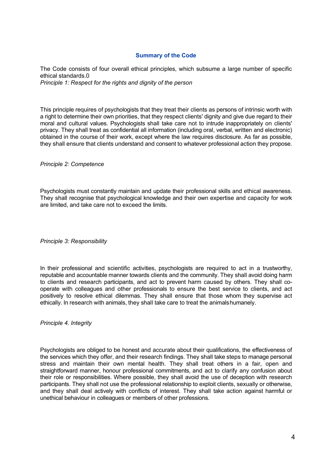# **Summary of the Code**

The Code consists of four overall ethical principles, which subsume a large number of specific ethical standards.0 *Principle 1: Respect for the rights and dignity of the person*

This principle requires of psychologists that they treat their clients as persons of intrinsic worth with a right to determine their own priorities, that they respect clients' dignity and give due regard to their moral and cultural values. Psychologists shall take care not to intrude inappropriately on clients' privacy. They shall treat as confidential all information (including oral, verbal, written and electronic) obtained in the course of their work, except where the law requires disclosure. As far as possible, they shall ensure that clients understand and consent to whatever professional action they propose.

*Principle 2: Competence*

Psychologists must constantly maintain and update their professional skills and ethical awareness. They shall recognise that psychological knowledge and their own expertise and capacity for work are limited, and take care not to exceed the limits.

*Principle 3: Responsibility*

In their professional and scientific activities, psychologists are required to act in a trustworthy, reputable and accountable manner towards clients and the community. They shall avoid doing harm to clients and research participants, and act to prevent harm caused by others. They shall cooperate with colleagues and other professionals to ensure the best service to clients, and act positively to resolve ethical dilemmas. They shall ensure that those whom they supervise act ethically. In research with animals, they shall take care to treat the animalshumanely.

*Principle 4. Integrity*

Psychologists are obliged to be honest and accurate about their qualifications, the effectiveness of the services which they offer, and their research findings. They shall take steps to manage personal stress and maintain their own mental health. They shall treat others in a fair, open and straightforward manner, honour professional commitments, and act to clarify any confusion about their role or responsibilities. Where possible, they shall avoid the use of deception with research participants. They shall not use the professional relationship to exploit clients, sexually or otherwise, and they shall deal actively with conflicts of interest. They shall take action against harmful or unethical behaviour in colleagues or members of other professions.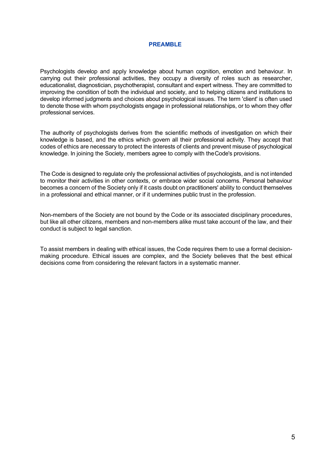#### **PREAMBLE**

Psychologists develop and apply knowledge about human cognition, emotion and behaviour. In carrying out their professional activities, they occupy a diversity of roles such as researcher, educationalist, diagnostician, psychotherapist, consultant and expert witness. They are committed to improving the condition of both the individual and society, and to helping citizens and institutions to develop informed judgments and choices about psychological issues. The term 'client' is often used to denote those with whom psychologists engage in professional relationships, or to whom they offer professional services.

The authority of psychologists derives from the scientific methods of investigation on which their knowledge is based, and the ethics which govern all their professional activity. They accept that codes of ethics are necessary to protect the interests of clients and prevent misuse of psychological knowledge. In joining the Society, members agree to comply with theCode's provisions.

The Code is designed to regulate only the professional activities of psychologists, and is not intended to monitor their activities in other contexts, or embrace wider social concerns. Personal behaviour becomes a concern of the Society only if it casts doubt on practitioners' ability to conduct themselves in a professional and ethical manner, or if it undermines public trust in the profession.

Non-members of the Society are not bound by the Code or its associated disciplinary procedures, but like all other citizens, members and non-members alike must take account of the law, and their conduct is subject to legal sanction.

To assist members in dealing with ethical issues, the Code requires them to use a formal decisionmaking procedure. Ethical issues are complex, and the Society believes that the best ethical decisions come from considering the relevant factors in a systematic manner.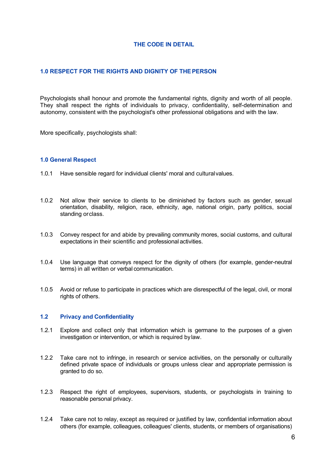# **THE CODE IN DETAIL**

# **1.0 RESPECT FOR THE RIGHTS AND DIGNITY OF THEPERSON**

Psychologists shall honour and promote the fundamental rights, dignity and worth of all people. They shall respect the rights of individuals to privacy, confidentiality, self-determination and autonomy, consistent with the psychologist's other professional obligations and with the law.

More specifically, psychologists shall:

#### **1.0 General Respect**

- 1.0.1 Have sensible regard for individual clients' moral and culturalvalues.
- 1.0.2 Not allow their service to clients to be diminished by factors such as gender, sexual orientation, disability, religion, race, ethnicity, age, national origin, party politics, social standing or class.
- 1.0.3 Convey respect for and abide by prevailing community mores, social customs, and cultural expectations in their scientific and professional activities.
- 1.0.4 Use language that conveys respect for the dignity of others (for example, gender-neutral terms) in all written or verbal communication.
- 1.0.5 Avoid or refuse to participate in practices which are disrespectful of the legal, civil, or moral rights of others.

#### **1.2 Privacy and Confidentiality**

- 1.2.1 Explore and collect only that information which is germane to the purposes of a given investigation or intervention, or which is required bylaw.
- 1.2.2 Take care not to infringe, in research or service activities, on the personally or culturally defined private space of individuals or groups unless clear and appropriate permission is granted to do so.
- 1.2.3 Respect the right of employees, supervisors, students, or psychologists in training to reasonable personal privacy.
- 1.2.4 Take care not to relay, except as required or justified by law, confidential information about others (for example, colleagues, colleagues' clients, students, or members of organisations)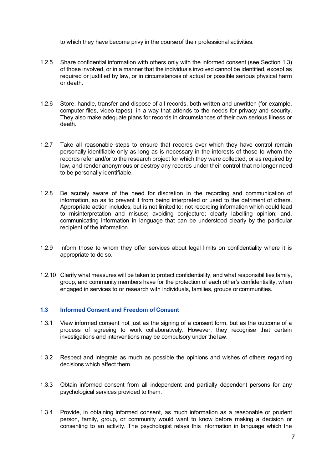to which they have become privy in the courseof their professional activities.

- 1.2.5 Share confidential information with others only with the informed consent (see Section 1.3) of those involved, or in a manner that the individuals involved cannot be identified, except as required or justified by law, or in circumstances of actual or possible serious physical harm or death.
- 1.2.6 Store, handle, transfer and dispose of all records, both written and unwritten (for example, computer files, video tapes), in a way that attends to the needs for privacy and security. They also make adequate plans for records in circumstances of their own serious illness or death.
- 1.2.7 Take all reasonable steps to ensure that records over which they have control remain personally identifiable only as long as is necessary in the interests of those to whom the records refer and/or to the research project for which they were collected, or as required by law, and render anonymous or destroy any records under their control that no longer need to be personally identifiable.
- 1.2.8 Be acutely aware of the need for discretion in the recording and communication of information, so as to prevent it from being interpreted or used to the detriment of others. Appropriate action includes, but is not limited to: not recording information which could lead to misinterpretation and misuse; avoiding conjecture; clearly labelling opinion; and, communicating information in language that can be understood clearly by the particular recipient of the information.
- 1.2.9 Inform those to whom they offer services about legal limits on confidentiality where it is appropriate to do so.
- 1.2.10 Clarify what measures will be taken to protect confidentiality, and what responsibilities family, group, and community members have for the protection of each other's confidentiality, when engaged in services to or research with individuals, families, groups orcommunities.

# **1.3 Informed Consent and Freedom of Consent**

- 1.3.1 View informed consent not just as the signing of a consent form, but as the outcome of a process of agreeing to work collaboratively. However, they recognise that certain investigations and interventions may be compulsory under thelaw.
- 1.3.2 Respect and integrate as much as possible the opinions and wishes of others regarding decisions which affect them.
- 1.3.3 Obtain informed consent from all independent and partially dependent persons for any psychological services provided to them.
- 1.3.4 Provide, in obtaining informed consent, as much information as a reasonable or prudent person, family, group, or community would want to know before making a decision or consenting to an activity. The psychologist relays this information in language which the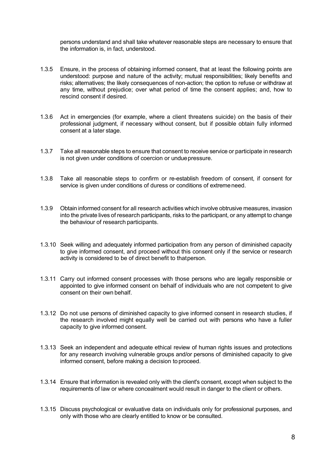persons understand and shall take whatever reasonable steps are necessary to ensure that the information is, in fact, understood.

- 1.3.5 Ensure, in the process of obtaining informed consent, that at least the following points are understood: purpose and nature of the activity; mutual responsibilities; likely benefits and risks; alternatives; the likely consequences of non-action; the option to refuse or withdraw at any time, without prejudice; over what period of time the consent applies; and, how to rescind consent if desired.
- 1.3.6 Act in emergencies (for example, where a client threatens suicide) on the basis of their professional judgment, if necessary without consent, but if possible obtain fully informed consent at a later stage.
- 1.3.7 Take all reasonable steps to ensure that consent to receive service or participate in research is not given under conditions of coercion or unduepressure.
- 1.3.8 Take all reasonable steps to confirm or re-establish freedom of consent, if consent for service is given under conditions of duress or conditions of extremeneed.
- 1.3.9 Obtain informed consent for all research activities which involve obtrusive measures, invasion into the private lives of research participants, risks to the participant, or any attempt to change the behaviour of research participants.
- 1.3.10 Seek willing and adequately informed participation from any person of diminished capacity to give informed consent, and proceed without this consent only if the service or research activity is considered to be of direct benefit to thatperson.
- 1.3.11 Carry out informed consent processes with those persons who are legally responsible or appointed to give informed consent on behalf of individuals who are not competent to give consent on their own behalf.
- 1.3.12 Do not use persons of diminished capacity to give informed consent in research studies, if the research involved might equally well be carried out with persons who have a fuller capacity to give informed consent.
- 1.3.13 Seek an independent and adequate ethical review of human rights issues and protections for any research involving vulnerable groups and/or persons of diminished capacity to give informed consent, before making a decision to proceed.
- 1.3.14 Ensure that information is revealed only with the client's consent, except when subject to the requirements of law or where concealment would result in danger to the client or others.
- 1.3.15 Discuss psychological or evaluative data on individuals only for professional purposes, and only with those who are clearly entitled to know or be consulted.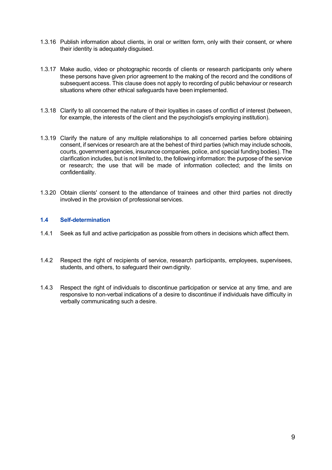- 1.3.16 Publish information about clients, in oral or written form, only with their consent, or where their identity is adequately disguised.
- 1.3.17 Make audio, video or photographic records of clients or research participants only where these persons have given prior agreement to the making of the record and the conditions of subsequent access. This clause does not apply to recording of public behaviour or research situations where other ethical safeguards have been implemented.
- 1.3.18 Clarify to all concerned the nature of their loyalties in cases of conflict of interest (between, for example, the interests of the client and the psychologist's employing institution).
- 1.3.19 Clarify the nature of any multiple relationships to all concerned parties before obtaining consent, if services or research are at the behest of third parties (which may include schools, courts, government agencies, insurance companies, police, and special funding bodies). The clarification includes, but is not limited to, the following information: the purpose of the service or research; the use that will be made of information collected; and the limits on confidentiality.
- 1.3.20 Obtain clients' consent to the attendance of trainees and other third parties not directly involved in the provision of professional services.

# **1.4 Self-determination**

- 1.4.1 Seek as full and active participation as possible from others in decisions which affect them.
- 1.4.2 Respect the right of recipients of service, research participants, employees, supervisees, students, and others, to safeguard their owndignity.
- 1.4.3 Respect the right of individuals to discontinue participation or service at any time, and are responsive to non-verbal indications of a desire to discontinue if individuals have difficulty in verbally communicating such a desire.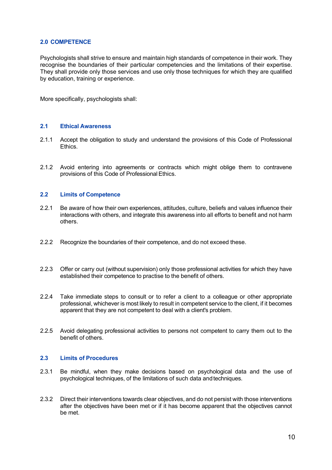## **2.0 COMPETENCE**

Psychologists shall strive to ensure and maintain high standards of competence in their work. They recognise the boundaries of their particular competencies and the limitations of their expertise. They shall provide only those services and use only those techniques for which they are qualified by education, training or experience.

More specifically, psychologists shall:

# **2.1 Ethical Awareness**

- 2.1.1 Accept the obligation to study and understand the provisions of this Code of Professional **Ethics**
- 2.1.2 Avoid entering into agreements or contracts which might oblige them to contravene provisions of this Code of Professional Ethics.

#### **2.2 Limits of Competence**

- 2.2.1 Be aware of how their own experiences, attitudes, culture, beliefs and values influence their interactions with others, and integrate this awareness into all efforts to benefit and not harm others.
- 2.2.2 Recognize the boundaries of their competence, and do not exceed these.
- 2.2.3 Offer or carry out (without supervision) only those professional activities for which they have established their competence to practise to the benefit of others.
- 2.2.4 Take immediate steps to consult or to refer a client to a colleague or other appropriate professional, whichever is most likely to result in competent service to the client, if it becomes apparent that they are not competent to deal with a client's problem.
- 2.2.5 Avoid delegating professional activities to persons not competent to carry them out to the benefit of others.

## **2.3 Limits of Procedures**

- 2.3.1 Be mindful, when they make decisions based on psychological data and the use of psychological techniques, of the limitations of such data andtechniques.
- 2.3.2 Direct their interventions towards clear objectives, and do not persist with those interventions after the objectives have been met or if it has become apparent that the objectives cannot be met.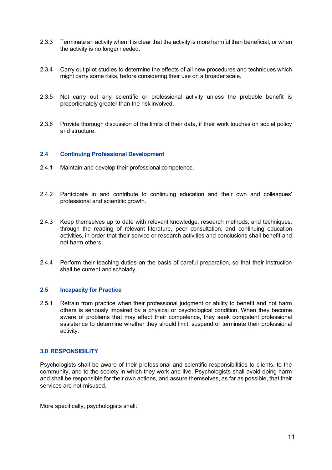- 2.3.3 Terminate an activity when it is clear that the activity is more harmful than beneficial, or when the activity is no longer needed.
- 2.3.4 Carry out pilot studies to determine the effects of all new procedures and techniques which might carry some risks, before considering their use on a broader scale.
- 2.3.5 Not carry out any scientific or professional activity unless the probable benefit is proportionately greater than the risk involved.
- 2.3.6 Provide thorough discussion of the limits of their data, if their work touches on social policy and structure.

#### **2.4 Continuing Professional Development**

- 2.4.1 Maintain and develop their professional competence.
- 2.4.2 Participate in and contribute to continuing education and their own and colleagues' professional and scientific growth.
- 2.4.3 Keep themselves up to date with relevant knowledge, research methods, and techniques, through the reading of relevant literature, peer consultation, and continuing education activities, in order that their service or research activities and conclusions shall benefit and not harm others.
- 2.4.4 Perform their teaching duties on the basis of careful preparation, so that their instruction shall be current and scholarly.

#### **2.5 Incapacity for Practice**

2.5.1 Refrain from practice when their professional judgment or ability to benefit and not harm others is seriously impaired by a physical or psychological condition. When they become aware of problems that may affect their competence, they seek competent professional assistance to determine whether they should limit, suspend or terminate their professional activity.

#### **3.0 RESPONSIBILITY**

Psychologists shall be aware of their professional and scientific responsibilities to clients, to the community, and to the society in which they work and live. Psychologists shall avoid doing harm and shall be responsible for their own actions, and assure themselves, as far as possible, that their services are not misused.

More specifically, psychologists shall: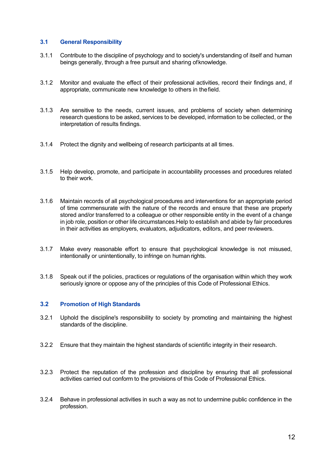# **3.1 General Responsibility**

- 3.1.1 Contribute to the discipline of psychology and to society's understanding of itself and human beings generally, through a free pursuit and sharing ofknowledge.
- 3.1.2 Monitor and evaluate the effect of their professional activities, record their findings and, if appropriate, communicate new knowledge to others in thefield.
- 3.1.3 Are sensitive to the needs, current issues, and problems of society when determining research questions to be asked, services to be developed, information to be collected, or the interpretation of results findings.
- 3.1.4 Protect the dignity and wellbeing of research participants at all times.
- 3.1.5 Help develop, promote, and participate in accountability processes and procedures related to their work.
- 3.1.6 Maintain records of all psychological procedures and interventions for an appropriate period of time commensurate with the nature of the records and ensure that these are properly stored and/or transferred to a colleague or other responsible entity in the event of a change in job role, position or other life circumstances.Help to establish and abide by fair procedures in their activities as employers, evaluators, adjudicators, editors, and peerreviewers.
- 3.1.7 Make every reasonable effort to ensure that psychological knowledge is not misused, intentionally or unintentionally, to infringe on human rights.
- 3.1.8 Speak out if the policies, practices or regulations of the organisation within which they work seriously ignore or oppose any of the principles of this Code of Professional Ethics.

# **3.2 Promotion of High Standards**

- 3.2.1 Uphold the discipline's responsibility to society by promoting and maintaining the highest standards of the discipline.
- 3.2.2 Ensure that they maintain the highest standards of scientific integrity in their research.
- 3.2.3 Protect the reputation of the profession and discipline by ensuring that all professional activities carried out conform to the provisions of this Code of Professional Ethics.
- 3.2.4 Behave in professional activities in such a way as not to undermine public confidence in the profession.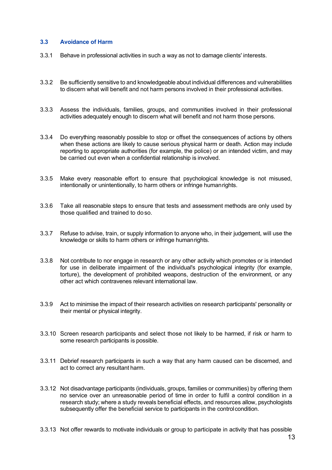# **3.3 Avoidance of Harm**

- 3.3.1 Behave in professional activities in such a way as not to damage clients' interests.
- 3.3.2 Be sufficiently sensitive to and knowledgeable about individual differences and vulnerabilities to discern what will benefit and not harm persons involved in their professional activities.
- 3.3.3 Assess the individuals, families, groups, and communities involved in their professional activities adequately enough to discern what will benefit and not harm those persons.
- 3.3.4 Do everything reasonably possible to stop or offset the consequences of actions by others when these actions are likely to cause serious physical harm or death. Action may include reporting to appropriate authorities (for example, the police) or an intended victim, and may be carried out even when a confidential relationship is involved.
- 3.3.5 Make every reasonable effort to ensure that psychological knowledge is not misused, intentionally or unintentionally, to harm others or infringe humanrights.
- 3.3.6 Take all reasonable steps to ensure that tests and assessment methods are only used by those qualified and trained to do so.
- 3.3.7 Refuse to advise, train, or supply information to anyone who, in their judgement, will use the knowledge or skills to harm others or infringe humanrights.
- 3.3.8 Not contribute to nor engage in research or any other activity which promotes or is intended for use in deliberate impairment of the individual's psychological integrity (for example, torture), the development of prohibited weapons, destruction of the environment, or any other act which contravenes relevant international law.
- 3.3.9 Act to minimise the impact of their research activities on research participants' personality or their mental or physical integrity.
- 3.3.10 Screen research participants and select those not likely to be harmed, if risk or harm to some research participants is possible.
- 3.3.11 Debrief research participants in such a way that any harm caused can be discerned, and act to correct any resultant harm.
- 3.3.12 Not disadvantage participants (individuals, groups, families or communities) by offering them no service over an unreasonable period of time in order to fulfil a control condition in a research study; where a study reveals beneficial effects, and resources allow, psychologists subsequently offer the beneficial service to participants in the controlcondition.
- 3.3.13 Not offer rewards to motivate individuals or group to participate in activity that has possible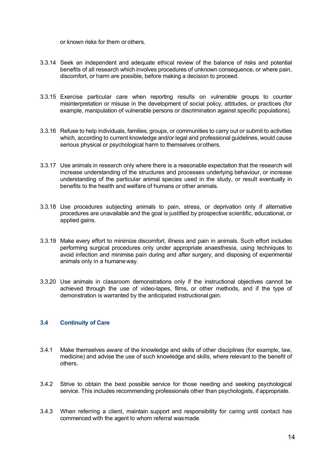or known risks for them or others.

- 3.3.14 Seek an independent and adequate ethical review of the balance of risks and potential benefits of all research which involves procedures of unknown consequence, or where pain, discomfort, or harm are possible, before making a decision to proceed.
- 3.3.15 Exercise particular care when reporting results on vulnerable groups to counter misinterpretation or misuse in the development of social policy, attitudes, or practices (for example, manipulation of vulnerable persons or discrimination against specific populations).
- 3.3.16 Refuse to help individuals, families, groups, or communities to carry out or submit to activities which, according to current knowledge and/or legal and professional guidelines, would cause serious physical or psychological harm to themselves orothers.
- 3.3.17 Use animals in research only where there is a reasonable expectation that the research will increase understanding of the structures and processes underlying behaviour, or increase understanding of the particular animal species used in the study, or result eventually in benefits to the health and welfare of humans or other animals.
- 3.3.18 Use procedures subjecting animals to pain, stress, or deprivation only if alternative procedures are unavailable and the goal is justified by prospective scientific, educational, or applied gains.
- 3.3.19 Make every effort to minimize discomfort, illness and pain in animals. Such effort includes performing surgical procedures only under appropriate anaesthesia, using techniques to avoid infection and minimise pain during and after surgery, and disposing of experimental animals only in a humaneway.
- 3.3.20 Use animals in classroom demonstrations only if the instructional objectives cannot be achieved through the use of video-tapes, films, or other methods, and if the type of demonstration is warranted by the anticipated instructional gain.

# **3.4 Continuity of Care**

- 3.4.1 Make themselves aware of the knowledge and skills of other disciplines (for example, law, medicine) and advise the use of such knowledge and skills, where relevant to the benefit of others.
- 3.4.2 Strive to obtain the best possible service for those needing and seeking psychological service. This includes recommending professionals other than psychologists, if appropriate.
- 3.4.3 When referring a client, maintain support and responsibility for caring until contact has commenced with the agent to whom referral wasmade.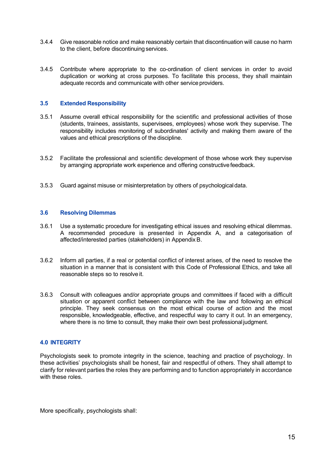- 3.4.4 Give reasonable notice and make reasonably certain that discontinuation will cause no harm to the client, before discontinuing services.
- 3.4.5 Contribute where appropriate to the co-ordination of client services in order to avoid duplication or working at cross purposes. To facilitate this process, they shall maintain adequate records and communicate with other service providers.

## **3.5 Extended Responsibility**

- 3.5.1 Assume overall ethical responsibility for the scientific and professional activities of those (students, trainees, assistants, supervisees, employees) whose work they supervise. The responsibility includes monitoring of subordinates' activity and making them aware of the values and ethical prescriptions of the discipline.
- 3.5.2 Facilitate the professional and scientific development of those whose work they supervise by arranging appropriate work experience and offering constructivefeedback.
- 3.5.3 Guard against misuse or misinterpretation by others of psychologicaldata.

### **3.6 Resolving Dilemmas**

- 3.6.1 Use a systematic procedure for investigating ethical issues and resolving ethical dilemmas. A recommended procedure is presented in Appendix A, and a categorisation of affected/interested parties (stakeholders) in Appendix B.
- 3.6.2 Inform all parties, if a real or potential conflict of interest arises, of the need to resolve the situation in a manner that is consistent with this Code of Professional Ethics, and take all reasonable steps so to resolve it.
- 3.6.3 Consult with colleagues and/or appropriate groups and committees if faced with a difficult situation or apparent conflict between compliance with the law and following an ethical principle. They seek consensus on the most ethical course of action and the most responsible, knowledgeable, effective, and respectful way to carry it out. In an emergency, where there is no time to consult, they make their own best professional judgment.

#### **4.0 INTEGRITY**

Psychologists seek to promote integrity in the science, teaching and practice of psychology. In these activities' psychologists shall be honest, fair and respectful of others. They shall attempt to clarify for relevant parties the roles they are performing and to function appropriately in accordance with these roles

More specifically, psychologists shall: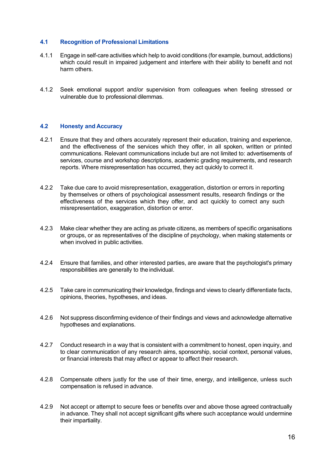# **4.1 Recognition of Professional Limitations**

- 4.1.1 Engage in self-care activities which help to avoid conditions (for example, burnout, addictions) which could result in impaired judgement and interfere with their ability to benefit and not harm others.
- 4.1.2 Seek emotional support and/or supervision from colleagues when feeling stressed or vulnerable due to professional dilemmas.

# **4.2 Honesty and Accuracy**

- 4.2.1 Ensure that they and others accurately represent their education, training and experience, and the effectiveness of the services which they offer, in all spoken, written or printed communications. Relevant communications include but are not limited to: advertisements of services, course and workshop descriptions, academic grading requirements, and research reports. Where misrepresentation has occurred, they act quickly to correct it.
- 4.2.2 Take due care to avoid misrepresentation, exaggeration, distortion or errors in reporting by themselves or others of psychological assessment results, research findings or the effectiveness of the services which they offer, and act quickly to correct any such misrepresentation, exaggeration, distortion or error.
- 4.2.3 Make clear whether they are acting as private citizens, as members of specific organisations or groups, or as representatives of the discipline of psychology, when making statements or when involved in public activities.
- 4.2.4 Ensure that families, and other interested parties, are aware that the psychologist's primary responsibilities are generally to the individual.
- 4.2.5 Take care in communicating their knowledge, findings and views to clearly differentiate facts, opinions, theories, hypotheses, and ideas.
- 4.2.6 Not suppress disconfirming evidence of their findings and views and acknowledge alternative hypotheses and explanations.
- 4.2.7 Conduct research in a way that is consistent with a commitment to honest, open inquiry, and to clear communication of any research aims, sponsorship, social context, personal values, or financial interests that may affect or appear to affect their research.
- 4.2.8 Compensate others justly for the use of their time, energy, and intelligence, unless such compensation is refused in advance.
- 4.2.9 Not accept or attempt to secure fees or benefits over and above those agreed contractually in advance. They shall not accept significant gifts where such acceptance would undermine their impartiality.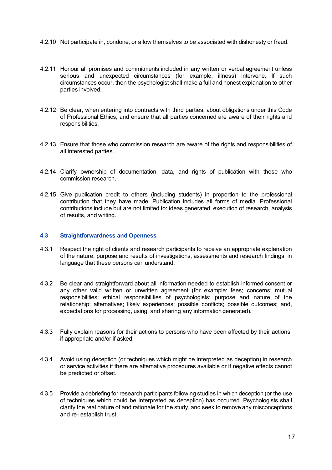- 4.2.10 Not participate in, condone, or allow themselves to be associated with dishonesty or fraud.
- 4.2.11 Honour all promises and commitments included in any written or verbal agreement unless serious and unexpected circumstances (for example, illness) intervene. If such circumstances occur, then the psychologist shall make a full and honest explanation to other parties involved.
- 4.2.12 Be clear, when entering into contracts with third parties, about obligations under this Code of Professional Ethics, and ensure that all parties concerned are aware of their rights and responsibilities.
- 4.2.13 Ensure that those who commission research are aware of the rights and responsibilities of all interested parties.
- 4.2.14 Clarify ownership of documentation, data, and rights of publication with those who commission research.
- 4.2.15 Give publication credit to others (including students) in proportion to the professional contribution that they have made. Publication includes all forms of media. Professional contributions include but are not limited to: ideas generated, execution of research, analysis of results, and writing.

## **4.3 Straightforwardness and Openness**

- 4.3.1 Respect the right of clients and research participants to receive an appropriate explanation of the nature, purpose and results of investigations, assessments and research findings, in language that these persons can understand.
- 4.3.2 Be clear and straightforward about all information needed to establish informed consent or any other valid written or unwritten agreement (for example: fees; concerns; mutual responsibilities; ethical responsibilities of psychologists; purpose and nature of the relationship; alternatives; likely experiences; possible conflicts; possible outcomes; and, expectations for processing, using, and sharing any informationgenerated).
- 4.3.3 Fully explain reasons for their actions to persons who have been affected by their actions, if appropriate and/or if asked.
- 4.3.4 Avoid using deception (or techniques which might be interpreted as deception) in research or service activities if there are alternative procedures available or if negative effects cannot be predicted or offset.
- 4.3.5 Provide a debriefing for research participants following studies in which deception (or the use of techniques which could be interpreted as deception) has occurred. Psychologists shall clarify the real nature of and rationale for the study, and seek to remove any misconceptions and re- establish trust.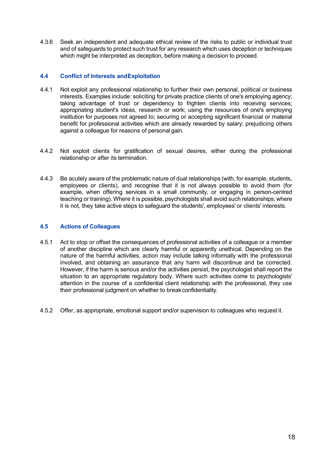4.3.6 Seek an independent and adequate ethical review of the risks to public or individual trust and of safeguards to protect such trust for any research which uses deception or techniques which might be interpreted as deception, before making a decision to proceed.

# **4.4 Conflict of Interests andExploitation**

- 4.4.1 Not exploit any professional relationship to further their own personal, political or business interests. Examples include: soliciting for private practice clients of one's employing agency; taking advantage of trust or dependency to frighten clients into receiving services; appropriating student's ideas, research or work; using the resources of one's employing institution for purposes not agreed to; securing or accepting significant financial or material benefit for professional activities which are already rewarded by salary; prejudicing others against a colleague for reasons of personal gain.
- 4.4.2 Not exploit clients for gratification of sexual desires, either during the professional relationship or after its termination.
- 4.4.3 Be acutely aware of the problematic nature of dual relationships (with, for example, students, employees or clients), and recognise that it is not always possible to avoid them (for example, when offering services in a small community, or engaging in person-centred teaching or training). Where it is possible, psychologists shall avoid such relationships; where it is not, they take active steps to safeguard the students', employees' or clients' interests.

# **4.5 Actions of Colleagues**

- 4.5.1 Act to stop or offset the consequences of professional activities of a colleague or a member of another discipline which are clearly harmful or apparently unethical. Depending on the nature of the harmful activities, action may include talking informally with the professional involved, and obtaining an assurance that any harm will discontinue and be corrected. However, if the harm is serious and/or the activities persist, the psychologist shall report the situation to an appropriate regulatory body. Where such activities come to psychologists' attention in the course of a confidential client relationship with the professional, they use their professional judgment on whether to breakconfidentiality.
- 4.5.2 Offer, as appropriate, emotional support and/or supervision to colleagues who request it.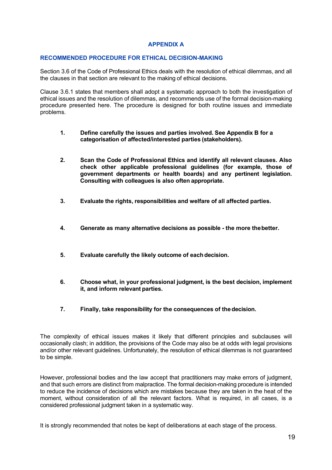# **APPENDIX A**

#### **RECOMMENDED PROCEDURE FOR ETHICAL DECISION-MAKING**

Section 3.6 of the Code of Professional Ethics deals with the resolution of ethical dilemmas, and all the clauses in that section are relevant to the making of ethical decisions.

Clause 3.6.1 states that members shall adopt a systematic approach to both the investigation of ethical issues and the resolution of dilemmas, and recommends use of the formal decision-making procedure presented here. The procedure is designed for both routine issues and immediate problems.

- **1. Define carefully the issues and parties involved. See Appendix B for a categorisation of affected/interested parties (stakeholders).**
- **2. Scan the Code of Professional Ethics and identify all relevant clauses. Also check other applicable professional guidelines (for example, those of government departments or health boards) and any pertinent legislation. Consulting with colleagues is also often appropriate.**
- **3. Evaluate the rights, responsibilities and welfare of all affected parties.**
- **4. Generate as many alternative decisions as possible - the more thebetter.**
- **5. Evaluate carefully the likely outcome of eachdecision.**
- **6. Choose what, in your professional judgment, is the best decision, implement it, and inform relevant parties.**
- **7. Finally, take responsibility for the consequences of thedecision.**

The complexity of ethical issues makes it likely that different principles and subclauses will occasionally clash; in addition, the provisions of the Code may also be at odds with legal provisions and/or other relevant guidelines. Unfortunately, the resolution of ethical dilemmas is not guaranteed to be simple.

However, professional bodies and the law accept that practitioners may make errors of judgment, and that such errors are distinct from malpractice. The formal decision-making procedure is intended to reduce the incidence of decisions which are mistakes because they are taken in the heat of the moment, without consideration of all the relevant factors. What is required, in all cases, is a considered professional judgment taken in a systematic way.

It is strongly recommended that notes be kept of deliberations at each stage of the process.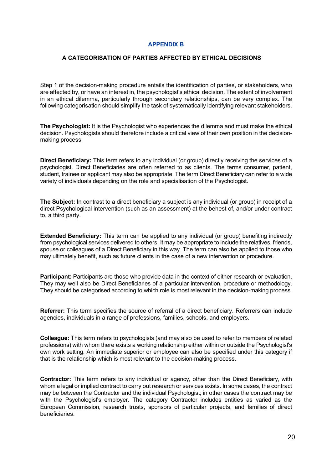# **APPENDIX B**

## **A CATEGORISATION OF PARTIES AFFECTED BY ETHICAL DECISIONS**

Step 1 of the decision-making procedure entails the identification of parties, or stakeholders, who are affected by, or have an interest in, the psychologist's ethical decision. The extent of involvement in an ethical dilemma, particularly through secondary relationships, can be very complex. The following categorisation should simplify the task of systematically identifying relevant stakeholders.

**The Psychologist:** It is the Psychologist who experiences the dilemma and must make the ethical decision. Psychologists should therefore include a critical view of their own position in the decisionmaking process.

**Direct Beneficiary:** This term refers to any individual (or group) directly receiving the services of a psychologist. Direct Beneficiaries are often referred to as clients. The terms consumer, patient, student, trainee or applicant may also be appropriate. The term Direct Beneficiary can refer to a wide variety of individuals depending on the role and specialisation of the Psychologist.

**The Subject:** In contrast to a direct beneficiary a subject is any individual (or group) in receipt of a direct Psychological intervention (such as an assessment) at the behest of, and/or under contract to, a third party.

**Extended Beneficiary:** This term can be applied to any individual (or group) benefiting indirectly from psychological services delivered to others. It may be appropriate to include the relatives, friends, spouse or colleagues of a Direct Beneficiary in this way. The term can also be applied to those who may ultimately benefit, such as future clients in the case of a new intervention or procedure.

**Participant:** Participants are those who provide data in the context of either research or evaluation. They may well also be Direct Beneficiaries of a particular intervention, procedure or methodology. They should be categorised according to which role is most relevant in the decision-making process.

**Referrer:** This term specifies the source of referral of a direct beneficiary. Referrers can include agencies, individuals in a range of professions, families, schools, and employers.

**Colleague:** This term refers to psychologists (and may also be used to refer to members of related professions) with whom there exists a working relationship either within or outside the Psychologist's own work setting. An immediate superior or employee can also be specified under this category if that is the relationship which is most relevant to the decision-making process.

**Contractor:** This term refers to any individual or agency, other than the Direct Beneficiary, with whom a legal or implied contract to carry out research or services exists. In some cases, the contract may be between the Contractor and the individual Psychologist; in other cases the contract may be with the Psychologist's employer. The category Contractor includes entities as varied as the European Commission, research trusts, sponsors of particular projects, and families of direct beneficiaries.